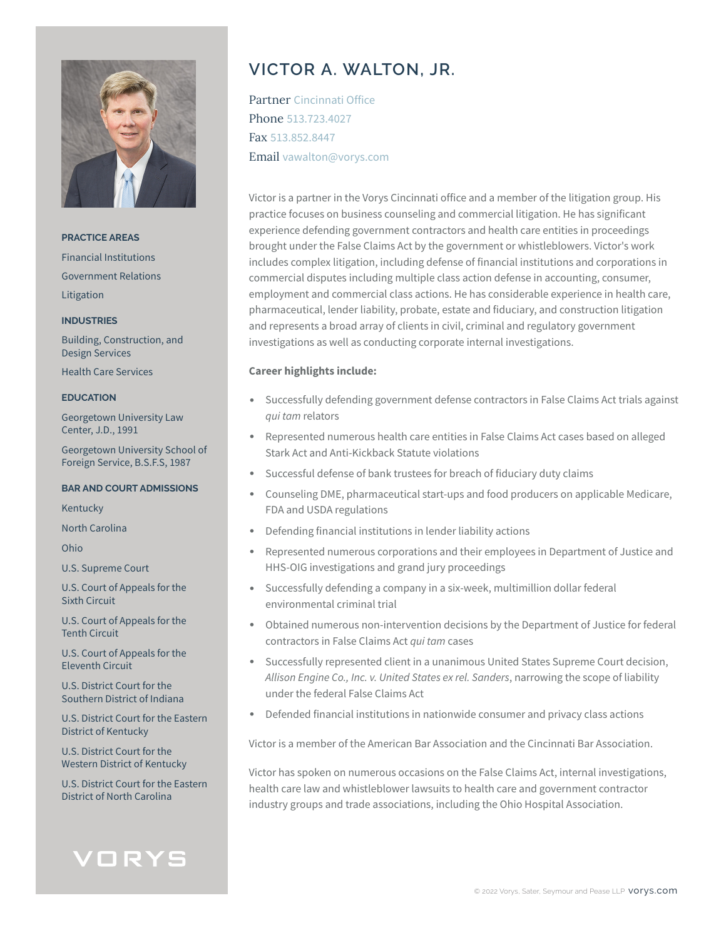

**PRACTICE AREAS** Financial Institutions Government Relations Litigation

#### **INDUSTRIES**

Building, Construction, and Design Services

Health Care Services

#### **EDUCATION**

Georgetown University Law Center, J.D., 1991

Georgetown University School of Foreign Service, B.S.F.S, 1987

### **BAR AND COURT ADMISSIONS**

Kentucky

North Carolina

Ohio

U.S. Supreme Court

U.S. Court of Appeals for the Sixth Circuit

U.S. Court of Appeals for the Tenth Circuit

U.S. Court of Appeals for the Eleventh Circuit

U.S. District Court for the Southern District of Indiana

U.S. District Court for the Eastern District of Kentucky

U.S. District Court for the Western District of Kentucky

U.S. District Court for the Eastern District of North Carolina

# VORYS

# **VICTOR A. WALTON, JR.**

Partner Cincinnati Office Phone 513.723.4027 Fax 513.852.8447 Email vawalton@vorys.com

Victor is a partner in the Vorys Cincinnati office and a member of the litigation group. His practice focuses on business counseling and commercial litigation. He has significant experience defending government contractors and health care entities in proceedings brought under the False Claims Act by the government or whistleblowers. Victor's work includes complex litigation, including defense of financial institutions and corporations in commercial disputes including multiple class action defense in accounting, consumer, employment and commercial class actions. He has considerable experience in health care, pharmaceutical, lender liability, probate, estate and fiduciary, and construction litigation and represents a broad array of clients in civil, criminal and regulatory government investigations as well as conducting corporate internal investigations.

## **Career highlights include:**

- Successfully defending government defense contractors in False Claims Act trials against *qui tam* relators
- Represented numerous health care entities in False Claims Act cases based on alleged Stark Act and Anti-Kickback Statute violations
- Successful defense of bank trustees for breach of fiduciary duty claims
- Counseling DME, pharmaceutical start-ups and food producers on applicable Medicare, FDA and USDA regulations
- Defending financial institutions in lender liability actions
- Represented numerous corporations and their employees in Department of Justice and HHS-OIG investigations and grand jury proceedings
- Successfully defending a company in a six-week, multimillion dollar federal environmental criminal trial
- Obtained numerous non-intervention decisions by the Department of Justice for federal contractors in False Claims Act *qui tam* cases
- Successfully represented client in a unanimous United States Supreme Court decision, *Allison Engine Co., Inc. v. United States ex rel. Sanders*, narrowing the scope of liability under the federal False Claims Act
- Defended financial institutions in nationwide consumer and privacy class actions

Victor is a member of the American Bar Association and the Cincinnati Bar Association.

Victor has spoken on numerous occasions on the False Claims Act, internal investigations, health care law and whistleblower lawsuits to health care and government contractor industry groups and trade associations, including the Ohio Hospital Association.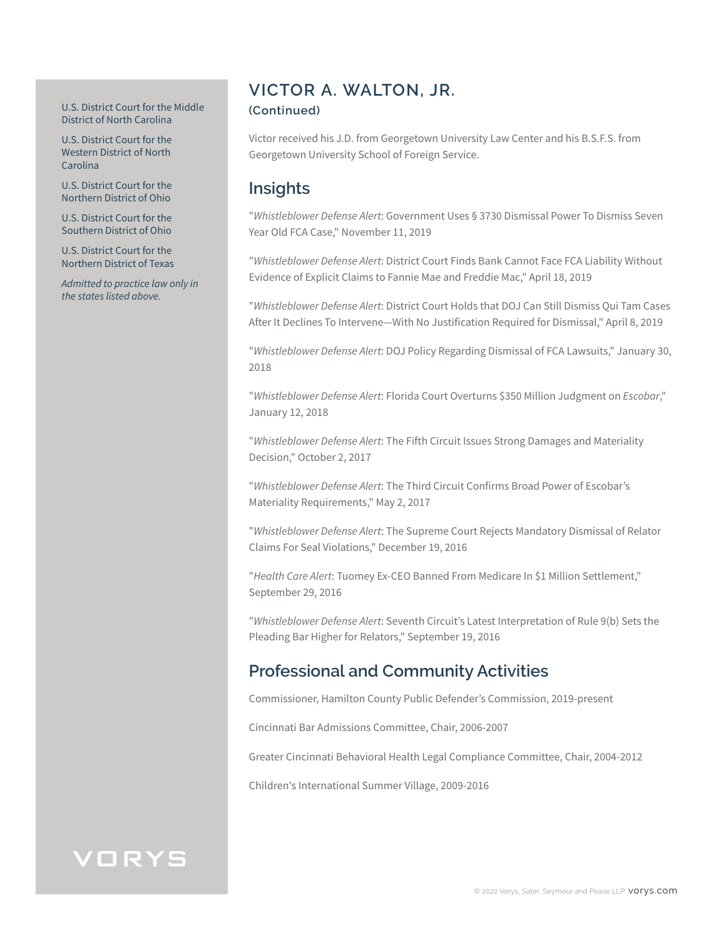### U.S. District Court for the Middle District of North Carolina

U.S. District Court for the Western District of North Carolina

U.S. District Court for the Northern District of Ohio

U.S. District Court for the Southern District of Ohio

U.S. District Court for the Northern District of Texas

*Admitted to practice law only in the states listed above.*

## **VICTOR A. WALTON, JR.**

## **(Continued)**

Victor received his J.D. from Georgetown University Law Center and his B.S.F.S. from Georgetown University School of Foreign Service.

## **Insights**

"*Whistleblower Defense Alert*: Government Uses § 3730 Dismissal Power To Dismiss Seven Year Old FCA Case," November 11, 2019

"*Whistleblower Defense Alert*: District Court Finds Bank Cannot Face FCA Liability Without Evidence of Explicit Claims to Fannie Mae and Freddie Mac," April 18, 2019

"*Whistleblower Defense Alert*: District Court Holds that DOJ Can Still Dismiss Qui Tam Cases After It Declines To Intervene—With No Justification Required for Dismissal," April 8, 2019

"*Whistleblower Defense Alert*: DOJ Policy Regarding Dismissal of FCA Lawsuits," January 30, 2018

"*Whistleblower Defense Alert*: Florida Court Overturns \$350 Million Judgment on *Escobar*," January 12, 2018

"*Whistleblower Defense Alert*: The Fifth Circuit Issues Strong Damages and Materiality Decision," October 2, 2017

"*Whistleblower Defense Alert*: The Third Circuit Confirms Broad Power of Escobar's Materiality Requirements," May 2, 2017

"*Whistleblower Defense Alert*: The Supreme Court Rejects Mandatory Dismissal of Relator Claims For Seal Violations," December 19, 2016

"*Health Care Alert*: Tuomey Ex-CEO Banned From Medicare In \$1 Million Settlement," September 29, 2016

"*Whistleblower Defense Alert*: Seventh Circuit's Latest Interpretation of Rule 9(b) Sets the Pleading Bar Higher for Relators," September 19, 2016

## **Professional and Community Activities**

Commissioner, Hamilton County Public Defender's Commission, 2019-present

Cincinnati Bar Admissions Committee, Chair, 2006-2007

Greater Cincinnati Behavioral Health Legal Compliance Committee, Chair, 2004-2012

Children's International Summer Village, 2009-2016

# VORYS